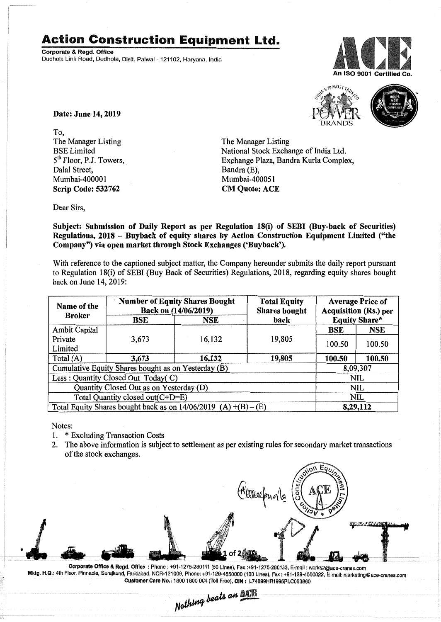## Action Construction Equipment Ltd.

Corporate & Regd. Office Dudhola Link Road, Dudhola, Distt. Palwal- 121102, Haryana, India





Date: June 14,2019

To, The Manager Listing BSE Limited 5<sup>th</sup> Floor, P.J. Towers, Dalal Street, Mumbai-400001 Scrip Code: 532762

The Manager Listing National Stock Exchange of India Ltd. Exchange Plaza, Bandra Kurla Complex, Bandra (E), Mumbai-400051 CM Quote: ACE

Dear Sirs,

Subject: Submission of Daily Report as per Regulation 18(i) of SEBI (Buy-back of Securities) Regulations, 2018 - Buyback of equity shares by Action Construction Equipment Limited ("the Company") via open market through Stock Exchanges ('Buyback').

With reference to the captioned subject matter, the Company hereunder submits the daily report pursuant to Regulation IS(i) of SEBI (Buy Back of Securities) Regulations, 20 IS, regarding equity shares bought back on June 14,2019:

| Name of the<br><b>Broker</b>                                      | <b>Number of Equity Shares Bought</b><br>Back on (14/06/2019) |        | <b>Total Equity</b><br><b>Shares bought</b> | <b>Average Price of</b><br><b>Acquisition (Rs.) per</b> |            |  |
|-------------------------------------------------------------------|---------------------------------------------------------------|--------|---------------------------------------------|---------------------------------------------------------|------------|--|
|                                                                   | BSE                                                           | NSE    | <b>Equity Share*</b><br>back                |                                                         |            |  |
| Ambit Capital                                                     |                                                               |        |                                             | <b>BSE</b>                                              | <b>NSE</b> |  |
| Private                                                           | 3,673                                                         | 16,132 | 19,805                                      | 100.50                                                  | 100.50     |  |
| Limited                                                           |                                                               |        |                                             |                                                         |            |  |
| Total $(A)$                                                       | 3,673                                                         | 16,132 | 19,805                                      | 100.50                                                  | 100.50     |  |
| Cumulative Equity Shares bought as on Yesterday (B)               |                                                               |        |                                             |                                                         | 8,09,307   |  |
| Less: Quantity Closed Out Today(C)                                |                                                               |        |                                             | <b>NIL</b>                                              |            |  |
| Quantity Closed Out as on Yesterday (D)                           |                                                               |        |                                             | NIL                                                     |            |  |
| Total Quantity closed out(C+D=E)                                  |                                                               |        |                                             |                                                         | NIL        |  |
| Total Equity Shares bought back as on $14/06/2019$ (A) +(B) – (E) |                                                               |        |                                             | 8,29,112                                                |            |  |

Notes:

- I. \* Excluding Transaction Costs
- 2. The above information is subject to settlement as per existing rules for secondary market transactions of the stock exchanges.



 $\frac{1}{4}$  *Leats an*  $\frac{1}{4}$ Corporate Office & Regd. Office: Phone: +91-1275-280111 (50 Lines), Fax: +91-1275-280133, E-mail: works2@ace-cranes.com Mktg. H.Q.: 4th Floor, Pinnacle, Surajkund, Faridabad, NCR-121009, Phone: +91-129-4550000 (100 Lines), Fax: +91-129-4550022, E-mail: marketing@ace-cranes.com Customer Care No.: 1800 1800 004 (Toll Free), CIN : L74899HR1995PLC053860

*Nothing*